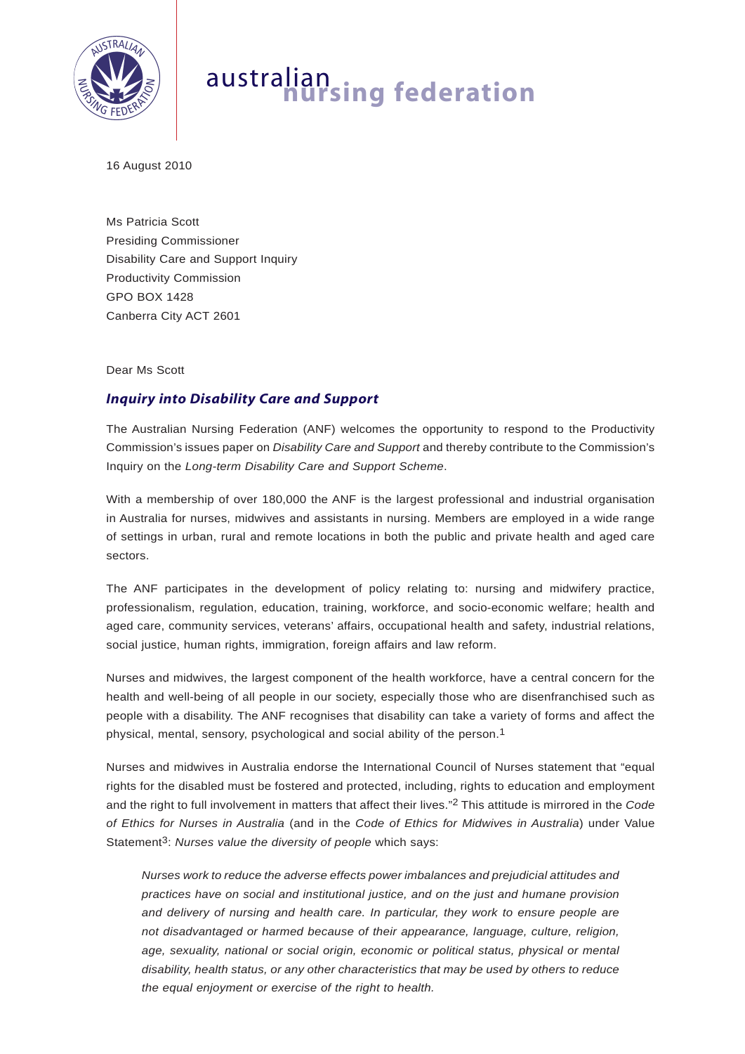

## australian **nursing federation**

16 August 2010

Ms Patricia Scott Presiding Commissioner Disability Care and Support Inquiry Productivity Commission GPO BOX 1428 Canberra City ACT 2601

## Dear Ms Scott

## *Inquiry into Disability Care and Support*

The Australian Nursing Federation (ANF) welcomes the opportunity to respond to the Productivity Commission's issues paper on *Disability Care and Support* and thereby contribute to the Commission's Inquiry on the *Long-term Disability Care and Support Scheme*.

With a membership of over 180,000 the ANF is the largest professional and industrial organisation in Australia for nurses, midwives and assistants in nursing. Members are employed in a wide range of settings in urban, rural and remote locations in both the public and private health and aged care sectors.

The ANF participates in the development of policy relating to: nursing and midwifery practice, professionalism, regulation, education, training, workforce, and socio-economic welfare; health and aged care, community services, veterans' affairs, occupational health and safety, industrial relations, social justice, human rights, immigration, foreign affairs and law reform.

Nurses and midwives, the largest component of the health workforce, have a central concern for the health and well-being of all people in our society, especially those who are disenfranchised such as people with a disability. The ANF recognises that disability can take a variety of forms and affect the physical, mental, sensory, psychological and social ability of the person.1

Nurses and midwives in Australia endorse the International Council of Nurses statement that "equal rights for the disabled must be fostered and protected, including, rights to education and employment and the right to full involvement in matters that affect their lives."2 This attitude is mirrored in the *Code of Ethics for Nurses in Australia* (and in the *Code of Ethics for Midwives in Australia*) under Value Statement<sup>3</sup>: *Nurses value the diversity of people* which says:

*Nurses work to reduce the adverse effects power imbalances and prejudicial attitudes and practices have on social and institutional justice, and on the just and humane provision and delivery of nursing and health care. In particular, they work to ensure people are not disadvantaged or harmed because of their appearance, language, culture, religion, age, sexuality, national or social origin, economic or political status, physical or mental disability, health status, or any other characteristics that may be used by others to reduce the equal enjoyment or exercise of the right to health.*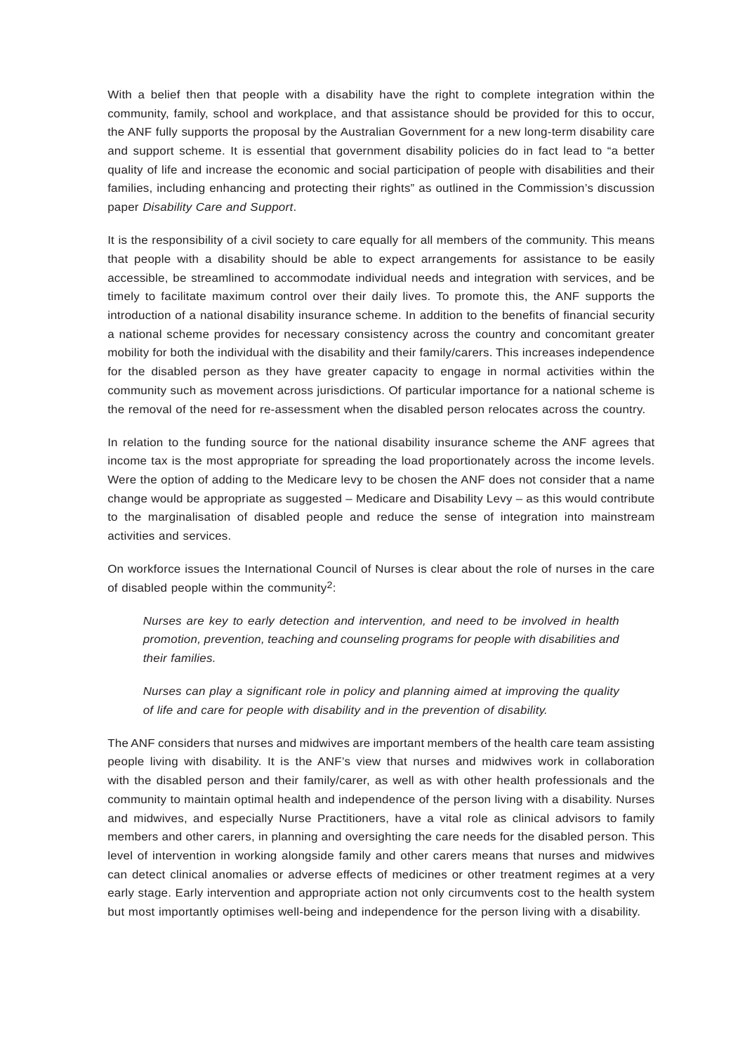With a belief then that people with a disability have the right to complete integration within the community, family, school and workplace, and that assistance should be provided for this to occur, the ANF fully supports the proposal by the Australian Government for a new long-term disability care and support scheme. It is essential that government disability policies do in fact lead to "a better quality of life and increase the economic and social participation of people with disabilities and their families, including enhancing and protecting their rights" as outlined in the Commission's discussion paper *Disability Care and Support*.

It is the responsibility of a civil society to care equally for all members of the community. This means that people with a disability should be able to expect arrangements for assistance to be easily accessible, be streamlined to accommodate individual needs and integration with services, and be timely to facilitate maximum control over their daily lives. To promote this, the ANF supports the introduction of a national disability insurance scheme. In addition to the benefits of financial security a national scheme provides for necessary consistency across the country and concomitant greater mobility for both the individual with the disability and their family/carers. This increases independence for the disabled person as they have greater capacity to engage in normal activities within the community such as movement across jurisdictions. Of particular importance for a national scheme is the removal of the need for re-assessment when the disabled person relocates across the country.

In relation to the funding source for the national disability insurance scheme the ANF agrees that income tax is the most appropriate for spreading the load proportionately across the income levels. Were the option of adding to the Medicare levy to be chosen the ANF does not consider that a name change would be appropriate as suggested – Medicare and Disability Levy – as this would contribute to the marginalisation of disabled people and reduce the sense of integration into mainstream activities and services.

On workforce issues the International Council of Nurses is clear about the role of nurses in the care of disabled people within the community2:

*Nurses are key to early detection and intervention, and need to be involved in health promotion, prevention, teaching and counseling programs for people with disabilities and their families.* 

*Nurses can play a significant role in policy and planning aimed at improving the quality of life and care for people with disability and in the prevention of disability.*

The ANF considers that nurses and midwives are important members of the health care team assisting people living with disability. It is the ANF's view that nurses and midwives work in collaboration with the disabled person and their family/carer, as well as with other health professionals and the community to maintain optimal health and independence of the person living with a disability. Nurses and midwives, and especially Nurse Practitioners, have a vital role as clinical advisors to family members and other carers, in planning and oversighting the care needs for the disabled person. This level of intervention in working alongside family and other carers means that nurses and midwives can detect clinical anomalies or adverse effects of medicines or other treatment regimes at a very early stage. Early intervention and appropriate action not only circumvents cost to the health system but most importantly optimises well-being and independence for the person living with a disability.